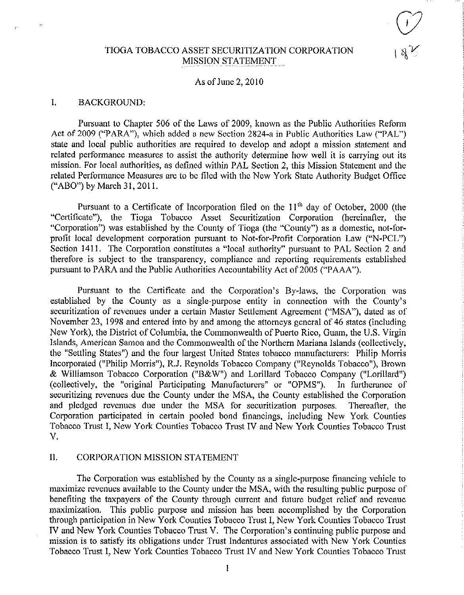# TIOGA TOBACCO ASSET SECURITIZATION CORPORATION MISSION STATEMENT

### As of June 2, 2010

### I. BACKGROUND:

Pursuant to Chapter 506 of the Laws of 2009, known as the Public Authorities Reform Act of 2009 ("PARA"), which added a new Section 2824-a in Public Authorities Law ("PAL") state and local public authorities are required to develop and adopt a mission statement and related performance measures to assist the authority determine how well it is carrying out its mission. For local authorities, as defined within PAL Section 2, this Mission Statement and the related Performance Measures are to he filed with the New York State Authority Budget Office ("ABO") by March 31, 2011.

Pursuant to a Certificate of Incorporation filed on the  $11<sup>th</sup>$  day of October, 2000 (the "Certificate"), the Tioga Tobacco Asset Securitization Corporation (hereinafter, the "Corporation") was established by the County of Tioga (the "County") as a domestic, not-forprofit local development corporation pursuant to Not-for-Profit Corporation Law ("N-PCL") Section 1411. The Corporation constitutes a "local authority" pursuant to PAL Section 2 and therefore is subject to the transparency, compliance and reporting requirements established pursuant to PARA and the Public Authorities Accountability Act of 2005 ("PAAA").

Pursuant to the Certificate and the Corporation's By-laws, the Corporation was established by the County as a single-purpose entity in connection with the County's securitization of revenues under a certain Master Settlement Agreement ("MSA"), dated as of November 23, 1998 and entered into by and among the attorneys general of 46 states (including New York), the District of Columbia, the Commonwealth of Puerto Rico, Guam, the U.S. Virgin Islands, American Samoa and the Commonwealth of the Northern Mariana Islands (collectively, the "Settling States") and the four largest United States tobacco manufacturers: Philip Morris Incorporated ("Philip Morris"), R.J. Reynolds Tobacco Company ("Reynolds Tobacco"), Brown & Williamson Tobacco Corporation ("B&W") and Lorillard Tobacco Company ("Lorillard") (collectively, the "original Participating Manufacturers" or "OPMS"). In furtherance of securitizing revenues due the County under the MSA, the County established the Corporation and pledged revenues due under the MSA for securitization purposes. Thereafter, the Corporation participated in certain pooled bond financings, including New York Counties Tobacco Trust I, New York Counties Tobacco Trust IV and New York Counties Tobacco Trust V.

## II, CORPORATION MISSION STATEMENT

The Corporation was established by the County as a single-purpose financing vehicle to maximize revenues available to the County under the MSA, with the resulting public purpose of benefiting the taxpayers of the County through current and future budget relief and revenue maximization. This public purpose and mission has been accomplished by the Corporation through participation in New York Counties Tobacco 'Trust I, New York Counties Tobacco Trust IV and New York Counties Tobacco Trust V. The Corporation's continuing public purpose and mission is to satisfy its obligations under Trust indentures associated with New York Counties Tobacco Trust I, New York Counties Tobacco Trust IV and New York Counties Tobacco Trust